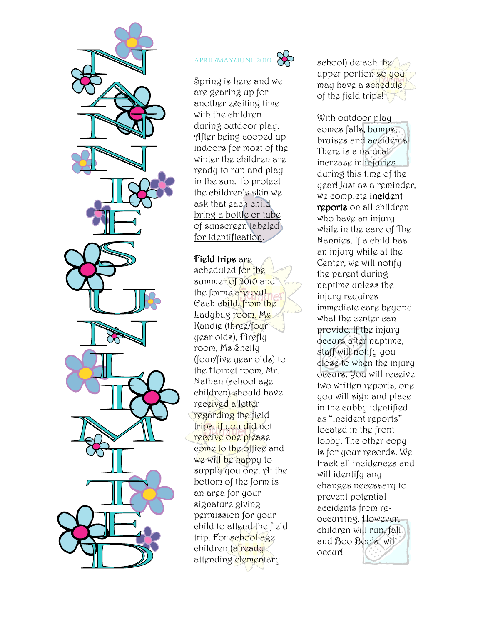

#### $\infty$ APRIL/MAY/JUNE 2010

Spring is here and we are gearing up for another exciting time with the children during outdoor play. After being cooped up indoors for most of the winter the children are ready to run and play in the sun. To protect the children's skin we ask that each child bring a bottle or tube of sunscreen labeled for identification.

Field trips are scheduled for the summer of 2010 and the forms are out! Each child, from the Ladybug room, Ms Kandie (three/four year olds), Firefly room, Ms Shelly (four/five year olds) to the Hornet room, Mr. Nathan (school age children) should have received a letter regarding the field trips, if you did not receive one please come to the office and we will be happy to supply you one. At the bottom of the form is an area for your signature giving permission for your child to attend the field trip. For school age children (already attending elementary

school) detach the upper portion so you may have a schedule of the field trips!

With outdoor play comes falls, bumps, bruises and accidents! There is a natural increase in injuries during this time of the year! Just as a reminder, we complete incident reports on all children who have an injury while in the care of The Nannies. If a child has an injury while at the Center, we will notify the parent during naptime unless the injury requires immediate care beyond what the center can provide. If the injury occurs after naptime, staff will notify you close to when the injury occurs. You will receive two written reports, one you will sign and place in the cubby identified as "incident reports" located in the front lobby. The other copy is for your records. We track all incidences and will identify any changes necessary to prevent potential accidents from reoccurring. However, children will run, fall and Boo Boo's will occur!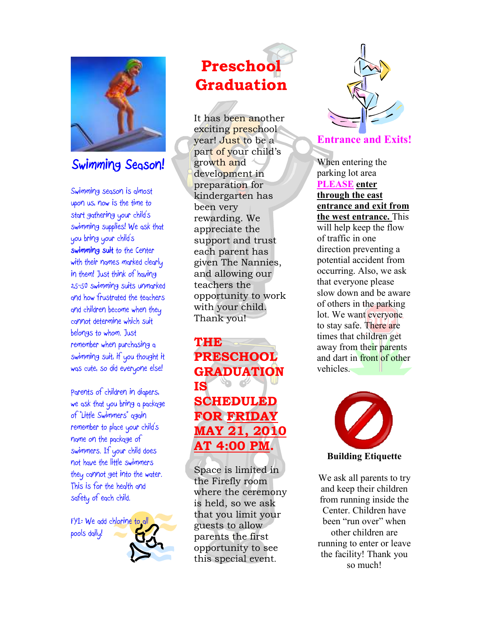

# **Swimming Season!**

*Swimming season is almost upon us, now is the time to start gathering your child's swimming supplies! We ask that you bring your child's*  **swimming suit** *to the Center with their names marked clearly in them! Just think of having 25-50 swimming suits unmarked and how frustrated the teachers and children become when they cannot determine which suit belongs to whom. Just remember when purchasing a swimming suit, if you thought it was cute, so did everyone else!* 

*Parents of children in diapers, we ask that you bring a package of "Little Swimmers" again remember to place your child's name on the package of swimmers. If your child does not have the little swimmers they cannot get into the water. This is for the health and safety of each child.* 

*FYI: We add chlorine to all pools daily!* 

# **Preschool Graduation**

It has been another exciting preschool year! Just to be a part of your child's growth and development in preparation for kindergarten has been very rewarding. We appreciate the support and trust each parent has given The Nannies, and allowing our teachers the opportunity to work with your child. Thank you!

**THE PRESCHOOL GRADUATION IS SCHEDULED FOR FRIDAY MAY 21, 2010 AT 4:00 PM.** 

Space is limited in the Firefly room where the ceremony is held, so we ask that you limit your guests to allow parents the first opportunity to see this special event.



#### **Entrance and Exits!**

When entering the parking lot area **PLEASE enter through the east entrance and exit from the west entrance.** This will help keep the flow of traffic in one direction preventing a potential accident from occurring. Also, we ask that everyone please slow down and be aware of others in the parking lot. We want everyone to stay safe. There are times that children get away from their parents and dart in front of other vehicles.



**Building Etiquette** 

We ask all parents to try and keep their children from running inside the Center. Children have been "run over" when other children are running to enter or leave the facility! Thank you so much!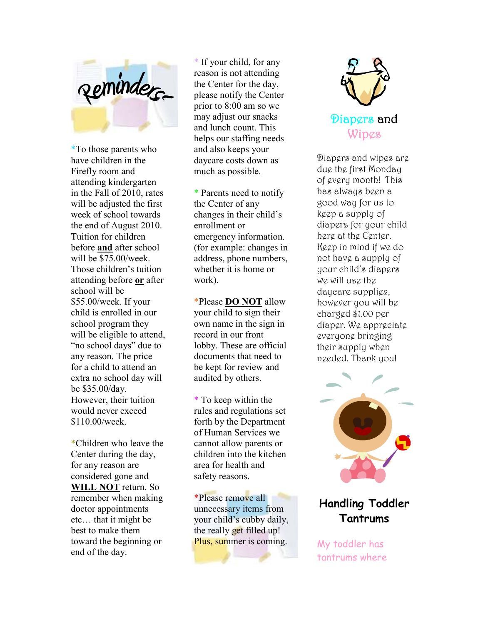

\*To those parents who have children in the Firefly room and attending kindergarten in the Fall of 2010, rates will be adjusted the first week of school towards the end of August 2010. Tuition for children before **and** after school will be \$75.00/week. Those children's tuition attending before **or** after school will be \$55.00/week. If your child is enrolled in our school program they will be eligible to attend, "no school days" due to any reason. The price for a child to attend an extra no school day will be \$35.00/day. However, their tuition would never exceed \$110.00/week.

\*Children who leave the Center during the day, for any reason are considered gone and **WILL NOT** return. So remember when making doctor appointments etc… that it might be best to make them toward the beginning or end of the day.

\* If your child, for any reason is not attending the Center for the day, please notify the Center prior to 8:00 am so we may adjust our snacks and lunch count. This helps our staffing needs and also keeps your daycare costs down as much as possible.

\* Parents need to notify the Center of any changes in their child's enrollment or emergency information. (for example: changes in address, phone numbers, whether it is home or work).

\*Please **DO NOT** allow your child to sign their own name in the sign in record in our front lobby. These are official documents that need to be kept for review and audited by others.

\* To keep within the rules and regulations set forth by the Department of Human Services we cannot allow parents or children into the kitchen area for health and safety reasons.

\*Please remove all unnecessary items from your child's cubby daily, the really get filled up! Plus, summer is coming.



Diapers and wipes are due the first Monday of every month! This has always been a good way for us to keep a supply of diapers for your child here at the Center. Keep in mind if we do not have a supply of your child's diapers we will use the daycare supplies, however you will be charged \$1.00 per diaper. We appreciate everyone bringing their supply when needed. Thank you!



## **Handling Toddler Tantrums**

My toddler has tantrums where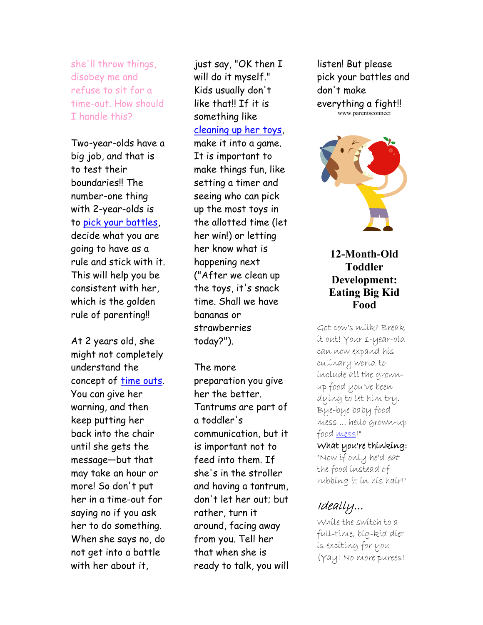she'll throw things, disobey me and refuse to sit for a time-out. How should I handle this?

Two-year-olds have a big job, and that is to test their boundaries!! The number-one thing with 2-year-olds is to pick your battles, decide what you are going to have as a rule and stick with it. This will help you be consistent with her, which is the golden rule of parenting!!

At 2 years old, she might not completely understand the concept of time outs. You can give her warning, and then keep putting her back into the chair until she gets the message—but that may take an hour or more! So don't put her in a time-out for saying no if you ask her to do something. When she says no, do not get into a battle with her about it,

just say, "OK then I will do it myself." Kids usually don't like that!! If it is something like cleaning up her toys, make it into a game. It is important to make things fun, like setting a timer and seeing who can pick up the most toys in the allotted time (let her win!) or letting her know what is happening next ("After we clean up the toys, it's snack time. Shall we have bananas or strawberries today?").

The more preparation you give her the better. Tantrums are part of a toddler's communication, but it is important not to feed into them. If she's in the stroller and having a tantrum, don't let her out; but rather, turn it around, facing away from you. Tell her that when she is ready to talk, you will listen! But please pick your battles and don't make everything a fight!! www.parentsconnect



### **12-Month-Old Toddler Development: Eating Big Kid Food**

Got cow's milk? Break it out! Your 1-year-old can now expand his culinary world to include all the grownup food you've been dying to let him try. Bye-bye baby food mess ... hello grown-up food <u>mess</u>!"

#### What you're thinking: "Now if only he'd eat the food instead of rubbing it in his hair!"

# Ideally... Ideally...

While the switch to a full-time, big-kid diet is exciting for you (Yay! No more purees!